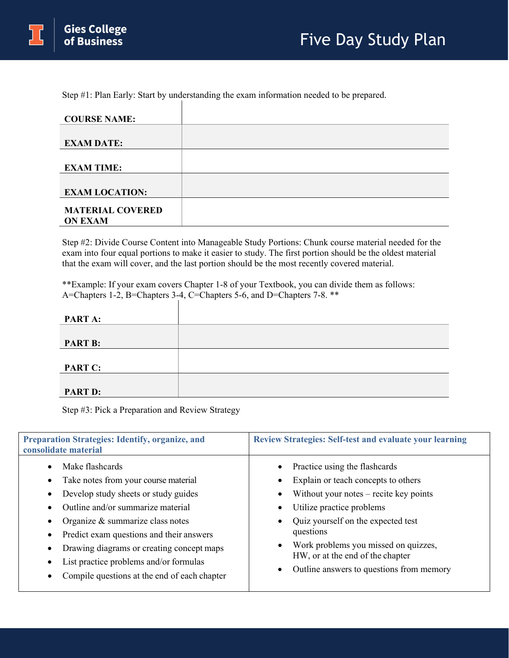Step #1: Plan Early: Start by understanding the exam information needed to be prepared.

| <b>COURSE NAME:</b>     |  |
|-------------------------|--|
|                         |  |
| <b>EXAM DATE:</b>       |  |
|                         |  |
| <b>EXAM TIME:</b>       |  |
|                         |  |
| <b>EXAM LOCATION:</b>   |  |
|                         |  |
| <b>MATERIAL COVERED</b> |  |
| <b>ON EXAM</b>          |  |

Step #2: Divide Course Content into Manageable Study Portions: Chunk course material needed for the exam into four equal portions to make it easier to study. The first portion should be the oldest material that the exam will cover, and the last portion should be the most recently covered material.

\*\*Example: If your exam covers Chapter 1-8 of your Textbook, you can divide them as follows: A=Chapters 1-2, B=Chapters 3-4, C=Chapters 5-6, and D=Chapters 7-8. \*\*

| PART A:        |  |
|----------------|--|
|                |  |
| <b>PART B:</b> |  |
|                |  |
| <b>PART C:</b> |  |
|                |  |
| <b>PART D:</b> |  |

Step #3: Pick a Preparation and Review Strategy

| <b>Preparation Strategies: Identify, organize, and</b><br>consolidate material                                                                                                                                                                                                                                                                              | <b>Review Strategies: Self-test and evaluate your learning</b>                                                                                                                                                                                                                                                                        |  |  |
|-------------------------------------------------------------------------------------------------------------------------------------------------------------------------------------------------------------------------------------------------------------------------------------------------------------------------------------------------------------|---------------------------------------------------------------------------------------------------------------------------------------------------------------------------------------------------------------------------------------------------------------------------------------------------------------------------------------|--|--|
| Make flashcards<br>Take notes from your course material<br>Develop study sheets or study guides<br>Outline and/or summarize material<br>Organize & summarize class notes<br>Predict exam questions and their answers<br>Drawing diagrams or creating concept maps<br>List practice problems and/or formulas<br>Compile questions at the end of each chapter | Practice using the flashcards<br>$\bullet$<br>Explain or teach concepts to others<br>Without your notes $-$ recite key points<br>Utilize practice problems<br>Quiz yourself on the expected test<br>questions<br>Work problems you missed on quizzes,<br>HW, or at the end of the chapter<br>Outline answers to questions from memory |  |  |